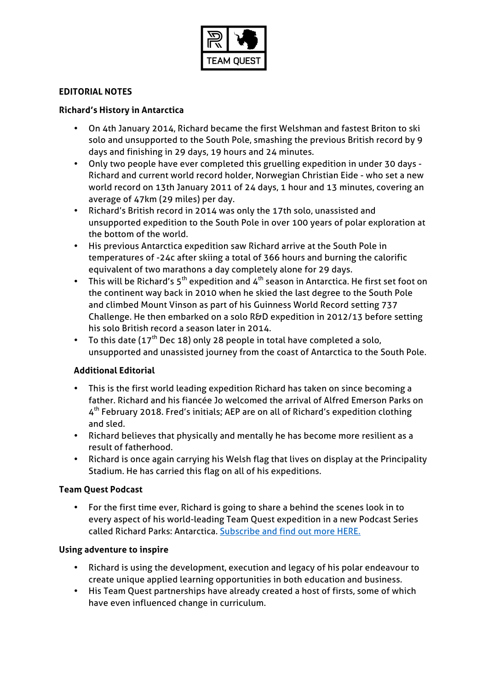

# **EDITORIAL NOTES**

## **Richard's History in Antarctica**

- On 4th January 2014, Richard became the first Welshman and fastest Briton to ski solo and unsupported to the South Pole, smashing the previous British record by 9 days and finishing in 29 days, 19 hours and 24 minutes.
- Only two people have ever completed this gruelling expedition in under 30 days Richard and current world record holder, Norwegian Christian Eide - who set a new world record on 13th January 2011 of 24 days, 1 hour and 13 minutes, covering an average of 47km (29 miles) per day.
- Richard's British record in 2014 was only the 17th solo, unassisted and unsupported expedition to the South Pole in over 100 years of polar exploration at the bottom of the world.
- His previous Antarctica expedition saw Richard arrive at the South Pole in temperatures of -24c after skiing a total of 366 hours and burning the calorific equivalent of two marathons a day completely alone for 29 days.
- This will be Richard's  $5<sup>th</sup>$  expedition and  $4<sup>th</sup>$  season in Antarctica. He first set foot on the continent way back in 2010 when he skied the last degree to the South Pole and climbed Mount Vinson as part of his Guinness World Record setting 737 Challenge. He then embarked on a solo R&D expedition in 2012/13 before setting his solo British record a season later in 2014.
- To this date ( $17<sup>th</sup>$  Dec 18) only 28 people in total have completed a solo, unsupported and unassisted journey from the coast of Antarctica to the South Pole.

# **Additional Editorial**

- This is the first world leading expedition Richard has taken on since becoming a father. Richard and his fiancée Jo welcomed the arrival of Alfred Emerson Parks on 4th February 2018. Fred's initials; AEP are on all of Richard's expedition clothing and sled.
- Richard believes that physically and mentally he has become more resilient as a result of fatherhood.
- Richard is once again carrying his Welsh flag that lives on display at the Principality Stadium. He has carried this flag on all of his expeditions.

### **Team Quest Podcast**

• For the first time ever, Richard is going to share a behind the scenes look in to every aspect of his world-leading Team Quest expedition in a new Podcast Series called Richard Parks: Antarctica. Subscribe and find out more HERE.

### **Using adventure to inspire**

- Richard is using the development, execution and legacy of his polar endeavour to create unique applied learning opportunities in both education and business.
- His Team Quest partnerships have already created a host of firsts, some of which have even influenced change in curriculum.